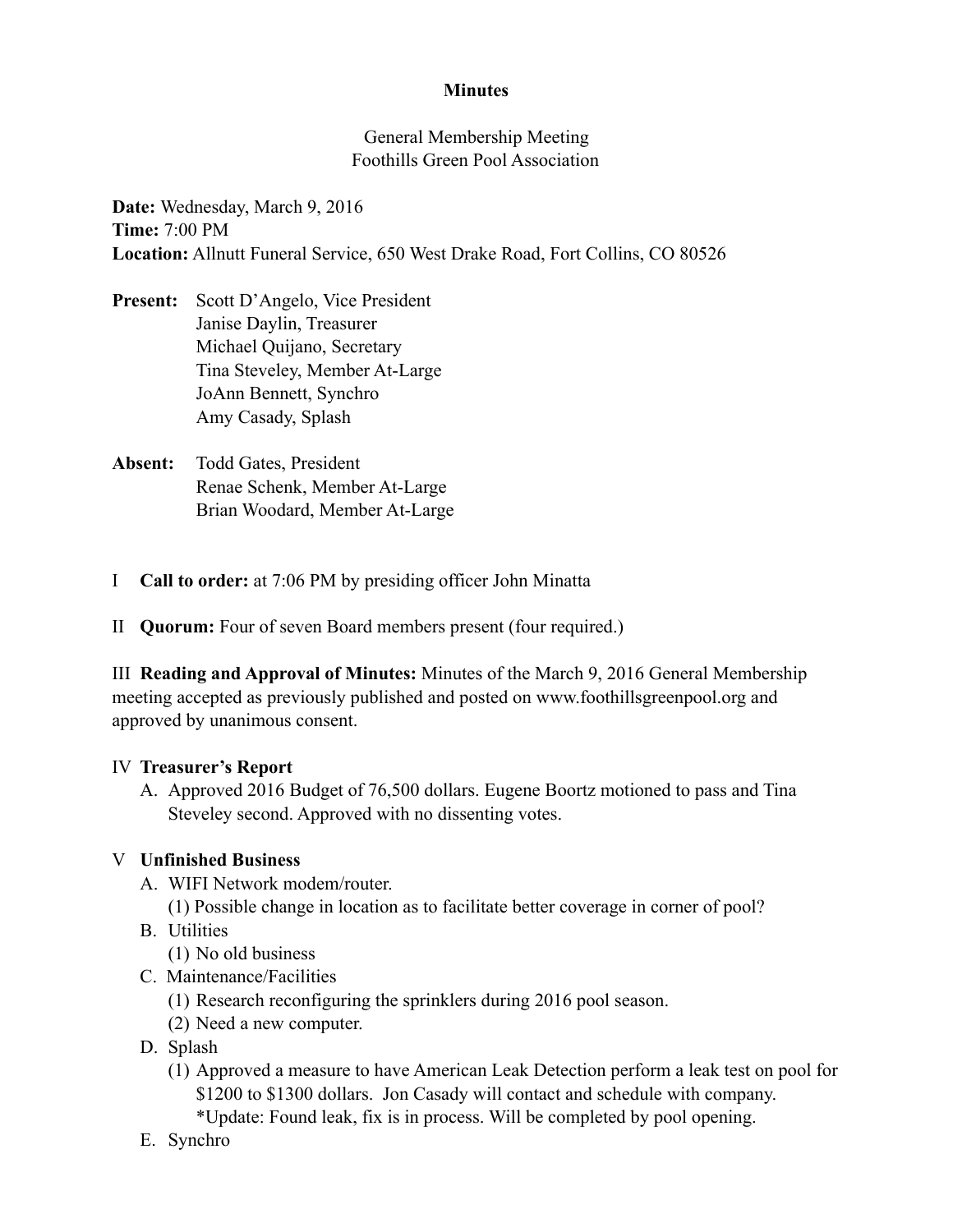#### **Minutes**

General Membership Meeting Foothills Green Pool Association

**Date:** Wednesday, March 9, 2016 **Time:** 7:00 PM **Location:** Allnutt Funeral Service, 650 West Drake Road, Fort Collins, CO 80526

- **Present:** Scott D'Angelo, Vice President Janise Daylin, Treasurer Michael Quijano, Secretary Tina Steveley, Member At-Large JoAnn Bennett, Synchro Amy Casady, Splash
- **Absent:** Todd Gates, President Renae Schenk, Member At-Large Brian Woodard, Member At-Large
- I **Call to order:** at 7:06 PM by presiding officer John Minatta
- II **Quorum:** Four of seven Board members present (four required.)

III **Reading and Approval of Minutes:** Minutes of the March 9, 2016 General Membership meeting accepted as previously published and posted on www.foothillsgreenpool.org and approved by unanimous consent.

#### IV **Treasurer's Report**

 A. Approved 2016 Budget of 76,500 dollars. Eugene Boortz motioned to pass and Tina Steveley second. Approved with no dissenting votes.

### V **Unfinished Business**

- A. WIFI Network modem/router.
	- (1) Possible change in location as to facilitate better coverage in corner of pool?
- B. Utilities
	- (1) No old business
- C. Maintenance/Facilities
	- (1) Research reconfiguring the sprinklers during 2016 pool season.
	- (2) Need a new computer.
- D. Splash
	- (1) Approved a measure to have American Leak Detection perform a leak test on pool for \$1200 to \$1300 dollars. Jon Casady will contact and schedule with company. \*Update: Found leak, fix is in process. Will be completed by pool opening.
- E. Synchro